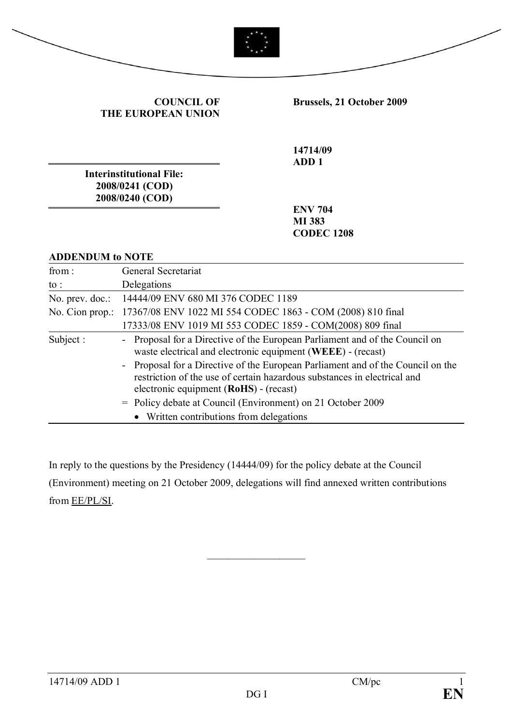

| <b>COUNCIL OF</b>  |
|--------------------|
| THE EUROPEAN UNION |

**Brussels, 21 October 2009**

**14714/09 ADD 1**

**Interinstitutional File: 2008/0241 (COD) 2008/0240 (COD)**

**ENV 704 MI 383 CODEC 1208**

#### **ADDENDUM to NOTE**

| from:           | General Secretariat                                                                                                                                                                                                                                                                                                                                                                                                                                            |
|-----------------|----------------------------------------------------------------------------------------------------------------------------------------------------------------------------------------------------------------------------------------------------------------------------------------------------------------------------------------------------------------------------------------------------------------------------------------------------------------|
| to :            | Delegations                                                                                                                                                                                                                                                                                                                                                                                                                                                    |
|                 | No. prev. doc.: 14444/09 ENV 680 MI 376 CODEC 1189                                                                                                                                                                                                                                                                                                                                                                                                             |
| No. Cion prop.: | 17367/08 ENV 1022 MI 554 CODEC 1863 - COM (2008) 810 final                                                                                                                                                                                                                                                                                                                                                                                                     |
|                 | 17333/08 ENV 1019 MI 553 CODEC 1859 - COM(2008) 809 final                                                                                                                                                                                                                                                                                                                                                                                                      |
| Subject:        | - Proposal for a Directive of the European Parliament and of the Council on<br>waste electrical and electronic equipment (WEEE) - (recast)<br>- Proposal for a Directive of the European Parliament and of the Council on the<br>restriction of the use of certain hazardous substances in electrical and<br>electronic equipment (RoHS) - (recast)<br>= Policy debate at Council (Environment) on 21 October 2009<br>• Written contributions from delegations |

In reply to the questions by the Presidency (14444/09) for the policy debate at the Council (Environment) meeting on 21 October 2009, delegations will find annexed written contributions from EE/PL/SI.

 $\overline{\phantom{a}}$  , where  $\overline{\phantom{a}}$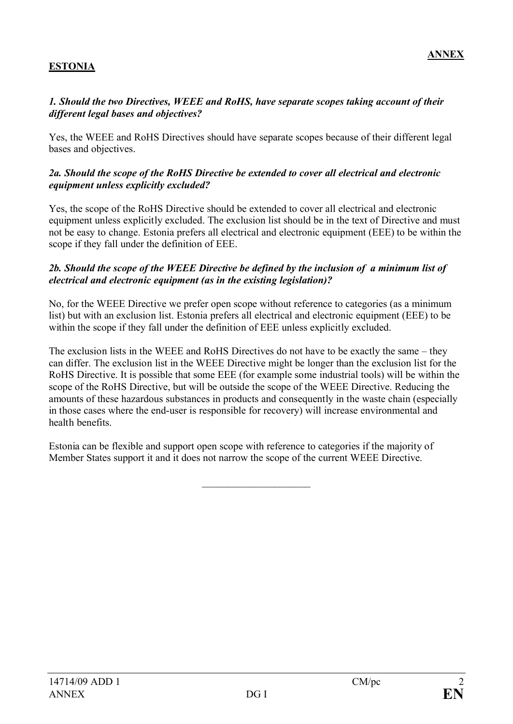# **ESTONIA**

### *1. Should the two Directives, WEEE and RoHS, have separate scopes taking account of their different legal bases and objectives?*

Yes, the WEEE and RoHS Directives should have separate scopes because of their different legal bases and objectives.

### *2a. Should the scope of the RoHS Directive be extended to cover all electrical and electronic equipment unless explicitly excluded?*

Yes, the scope of the RoHS Directive should be extended to cover all electrical and electronic equipment unless explicitly excluded. The exclusion list should be in the text of Directive and must not be easy to change. Estonia prefers all electrical and electronic equipment (EEE) to be within the scope if they fall under the definition of EEE.

### *2b. Should the scope of the WEEE Directive be defined by the inclusion of a minimum list of electrical and electronic equipment (as in the existing legislation)?*

No, for the WEEE Directive we prefer open scope without reference to categories (as a minimum list) but with an exclusion list. Estonia prefers all electrical and electronic equipment (EEE) to be within the scope if they fall under the definition of EEE unless explicitly excluded.

The exclusion lists in the WEEE and RoHS Directives do not have to be exactly the same – they can differ. The exclusion list in the WEEE Directive might be longer than the exclusion list for the RoHS Directive. It is possible that some EEE (for example some industrial tools) will be within the scope of the RoHS Directive, but will be outside the scope of the WEEE Directive. Reducing the amounts of these hazardous substances in products and consequently in the waste chain (especially in those cases where the end-user is responsible for recovery) will increase environmental and health benefits.

Estonia can be flexible and support open scope with reference to categories if the majority of Member States support it and it does not narrow the scope of the current WEEE Directive.

 $\overline{\phantom{a}}$  , where  $\overline{\phantom{a}}$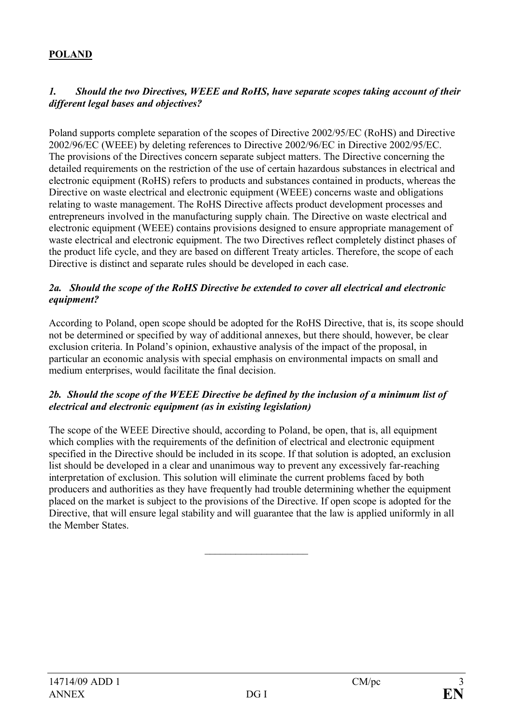# **POLAND**

### *1. Should the two Directives, WEEE and RoHS, have separate scopes taking account of their different legal bases and objectives?*

Poland supports complete separation of the scopes of Directive 2002/95/EC (RoHS) and Directive 2002/96/EC (WEEE) by deleting references to Directive 2002/96/EC in Directive 2002/95/EC. The provisions of the Directives concern separate subject matters. The Directive concerning the detailed requirements on the restriction of the use of certain hazardous substances in electrical and electronic equipment (RoHS) refers to products and substances contained in products, whereas the Directive on waste electrical and electronic equipment (WEEE) concerns waste and obligations relating to waste management. The RoHS Directive affects product development processes and entrepreneurs involved in the manufacturing supply chain. The Directive on waste electrical and electronic equipment (WEEE) contains provisions designed to ensure appropriate management of waste electrical and electronic equipment. The two Directives reflect completely distinct phases of the product life cycle, and they are based on different Treaty articles. Therefore, the scope of each Directive is distinct and separate rules should be developed in each case.

### *2a. Should the scope of the RoHS Directive be extended to cover all electrical and electronic equipment?*

According to Poland, open scope should be adopted for the RoHS Directive, that is, its scope should not be determined or specified by way of additional annexes, but there should, however, be clear exclusion criteria. In Poland's opinion, exhaustive analysis of the impact of the proposal, in particular an economic analysis with special emphasis on environmental impacts on small and medium enterprises, would facilitate the final decision.

### *2b. Should the scope of the WEEE Directive be defined by the inclusion of a minimum list of electrical and electronic equipment (as in existing legislation)*

The scope of the WEEE Directive should, according to Poland, be open, that is, all equipment which complies with the requirements of the definition of electrical and electronic equipment specified in the Directive should be included in its scope. If that solution is adopted, an exclusion list should be developed in a clear and unanimous way to prevent any excessively far-reaching interpretation of exclusion. This solution will eliminate the current problems faced by both producers and authorities as they have frequently had trouble determining whether the equipment placed on the market is subject to the provisions of the Directive. If open scope is adopted for the Directive, that will ensure legal stability and will guarantee that the law is applied uniformly in all the Member States.

 $\overline{\phantom{a}}$  , where  $\overline{\phantom{a}}$